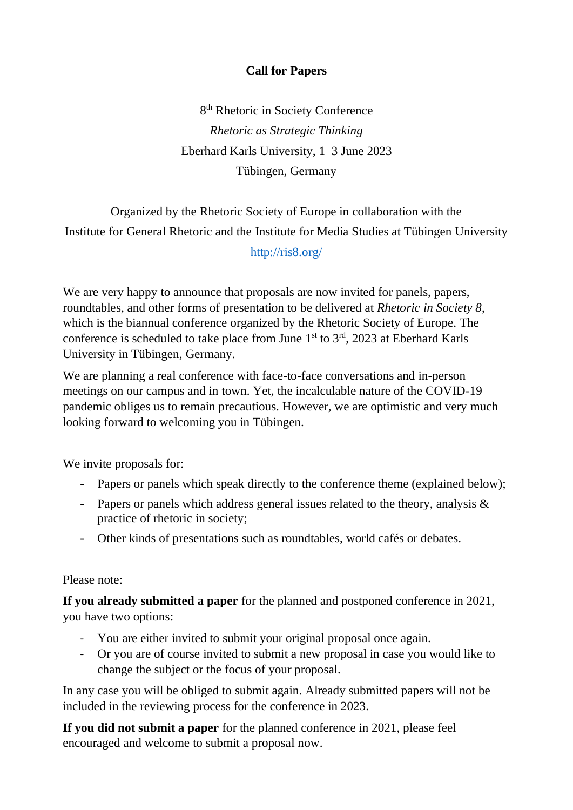# **Call for Papers**

8<sup>th</sup> Rhetoric in Society Conference *Rhetoric as Strategic Thinking* Eberhard Karls University, 1–3 June 2023 Tübingen, Germany

Organized by the Rhetoric Society of Europe in collaboration with the Institute for General Rhetoric and the Institute for Media Studies at Tübingen University

#### <http://ris8.org/>

We are very happy to announce that proposals are now invited for panels, papers, roundtables, and other forms of presentation to be delivered at *Rhetoric in Society 8*, which is the biannual conference organized by the Rhetoric Society of Europe. The conference is scheduled to take place from June  $1<sup>st</sup>$  to  $3<sup>rd</sup>$ , 2023 at Eberhard Karls University in Tübingen, Germany.

We are planning a real conference with face-to-face conversations and in-person meetings on our campus and in town. Yet, the incalculable nature of the COVID-19 pandemic obliges us to remain precautious. However, we are optimistic and very much looking forward to welcoming you in Tübingen.

We invite proposals for:

- Papers or panels which speak directly to the conference theme (explained below);
- Papers or panels which address general issues related to the theory, analysis & practice of rhetoric in society;
- Other kinds of presentations such as roundtables, world cafés or debates.

#### Please note:

**If you already submitted a paper** for the planned and postponed conference in 2021, you have two options:

- You are either invited to submit your original proposal once again.
- Or you are of course invited to submit a new proposal in case you would like to change the subject or the focus of your proposal.

In any case you will be obliged to submit again. Already submitted papers will not be included in the reviewing process for the conference in 2023.

**If you did not submit a paper** for the planned conference in 2021, please feel encouraged and welcome to submit a proposal now.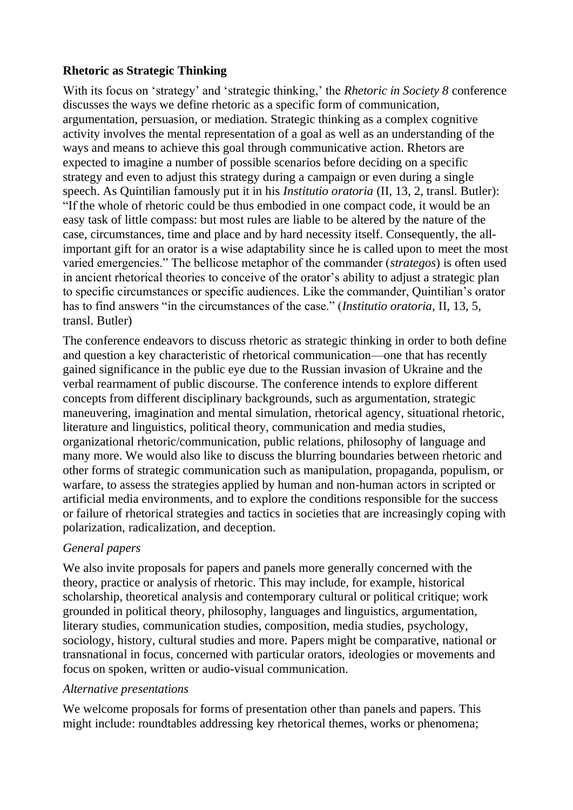### **Rhetoric as Strategic Thinking**

With its focus on 'strategy' and 'strategic thinking,' the *Rhetoric in Society 8* conference discusses the ways we define rhetoric as a specific form of communication, argumentation, persuasion, or mediation. Strategic thinking as a complex cognitive activity involves the mental representation of a goal as well as an understanding of the ways and means to achieve this goal through communicative action. Rhetors are expected to imagine a number of possible scenarios before deciding on a specific strategy and even to adjust this strategy during a campaign or even during a single speech. As Quintilian famously put it in his *Institutio oratoria* (II, 13, 2, transl. Butler): "If the whole of rhetoric could be thus embodied in one compact code, it would be an easy task of little compass: but most rules are liable to be altered by the nature of the case, circumstances, time and place and by hard necessity itself. Consequently, the allimportant gift for an orator is a wise adaptability since he is called upon to meet the most varied emergencies." The bellicose metaphor of the commander (*strategos*) is often used in ancient rhetorical theories to conceive of the orator's ability to adjust a strategic plan to specific circumstances or specific audiences. Like the commander, Quintilian's orator has to find answers "in the circumstances of the case." (*Institutio oratoria*, II, 13, 5, transl. Butler)

The conference endeavors to discuss rhetoric as strategic thinking in order to both define and question a key characteristic of rhetorical communication––one that has recently gained significance in the public eye due to the Russian invasion of Ukraine and the verbal rearmament of public discourse. The conference intends to explore different concepts from different disciplinary backgrounds, such as argumentation, strategic maneuvering, imagination and mental simulation, rhetorical agency, situational rhetoric, literature and linguistics, political theory, communication and media studies, organizational rhetoric/communication, public relations, philosophy of language and many more. We would also like to discuss the blurring boundaries between rhetoric and other forms of strategic communication such as manipulation, propaganda, populism, or warfare, to assess the strategies applied by human and non-human actors in scripted or artificial media environments, and to explore the conditions responsible for the success or failure of rhetorical strategies and tactics in societies that are increasingly coping with polarization, radicalization, and deception.

## *General papers*

We also invite proposals for papers and panels more generally concerned with the theory, practice or analysis of rhetoric. This may include, for example, historical scholarship, theoretical analysis and contemporary cultural or political critique; work grounded in political theory, philosophy, languages and linguistics, argumentation, literary studies, communication studies, composition, media studies, psychology, sociology, history, cultural studies and more. Papers might be comparative, national or transnational in focus, concerned with particular orators, ideologies or movements and focus on spoken, written or audio-visual communication.

#### *Alternative presentations*

We welcome proposals for forms of presentation other than panels and papers. This might include: roundtables addressing key rhetorical themes, works or phenomena;